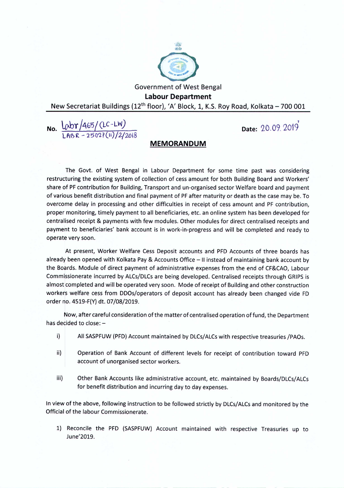

Government of West Bengal **Labour Department** New Secretariat Buildings (12<sup>th</sup> floor), 'A' Block, 1, K.S. Roy Road, Kolkata - 700 001

**No.**  $lnbr/465/(LC-LW)$ LABR - 25027(11)/2/2018

1 **Date:** 20.09.2019

## **MEMORANDUM**

The Govt. of West Bengal in Labour Department for some time past was considering restructuring the existing system of collection of cessamount for both Building Board and Workers' share of PF contribution for Building, Transport and un-organised sector Welfare board and payment of various benefit distribution and final payment of PF after maturity or death as the case may be. To overcome delay in processing and other difficulties in receipt of cess amount and PF contribution, proper monitoring, timely payment to all beneficiaries, etc. an online system hasbeen developed for centralised receipt & payments with few modules. Other modules for direct centralised receipts and payment to beneficiaries' bank account is in work-in-progress and will be completed and ready to operate very soon.

At present, Worker Welfare Cess Deposit accounts and PFD Accounts of three boards has already been opened with Kolkata Pay & Accounts Office - II instead of maintaining bank account by the Boards. Module of direct payment of administrative expenses from the end of CF&CAO, Labour Commissionerate incurred by ALCs/DLCs are being developed. Centralised receipts through GRIPS is almost completed and will be operated very soon. Mode of receipt of Building and other construction workers welfare cess from DDOs/operators of deposit account has already been changed vide FD order no. 4519-F(Y) dt. 07/08/2019.

Now, after careful consideration of the matter of centralised operation of fund, the Department has decided to close:  $-$ 

- i) All SASPFUW (PFD) Account maintained by DLCs/ALCs with respective treasuries / PAOs.
- ii) Operation of Bank Account of different levels for receipt of contribution toward PFD account of unorganised sector workers.
- iii) Other Bank Accounts like administrative account, etc. maintained by Boards/DLCs/ALCs for benefit distribution and incurring day to day expenses.

In view of the above, following instruction to be followed strictly by DLCs/ALCs and monitored by the Official of the labour Commissionerate.

1) Reconcile the PFD (SASPFUW) Account maintained with respective Treasuries up to June'2019.